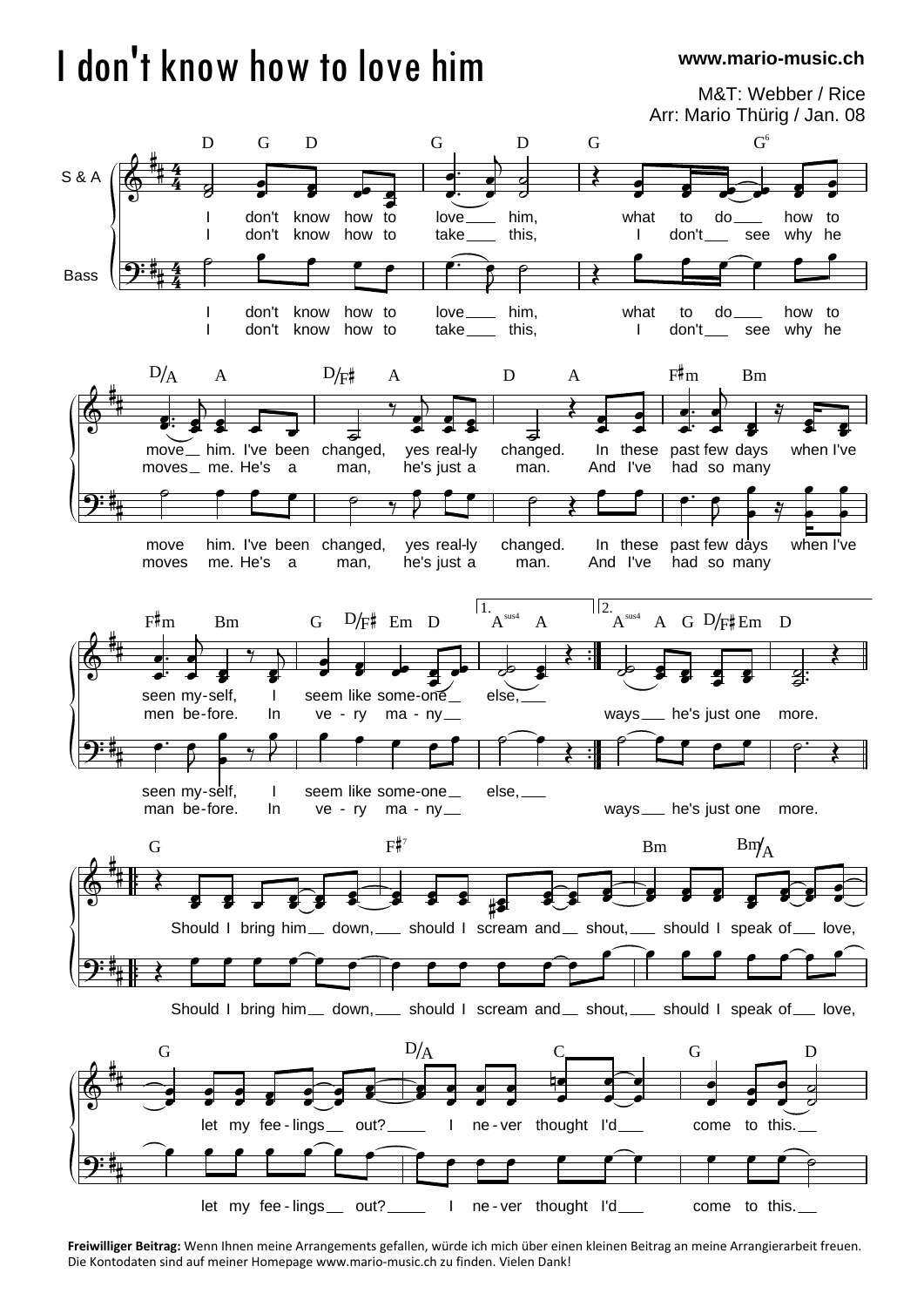## I don't know how to love him

**www.mario-music.ch**

M&T: Webber / Rice Arr: Mario Thürig / Jan. 08



**Freiwilliger Beitrag:** Wenn Ihnen meine Arrangements gefallen, würde ich mich über einen kleinen Beitrag an meine Arrangierarbeit freuen. Die Kontodaten sind auf meiner Homepage www.mario-music.ch zu finden. Vielen Dank!